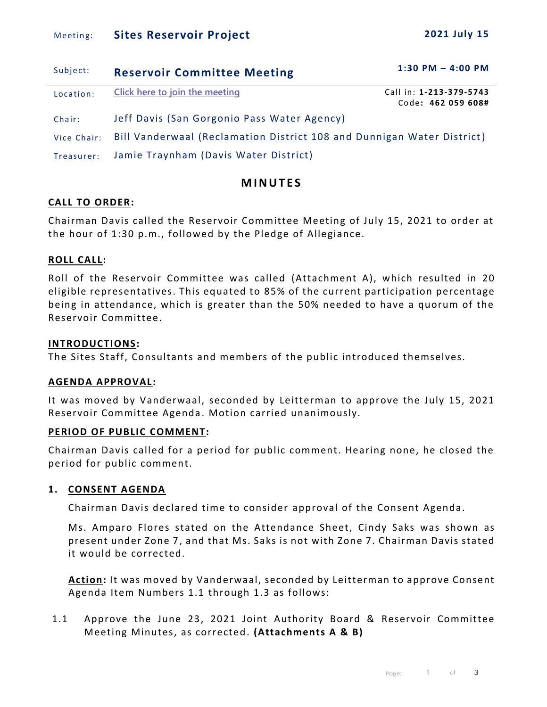## Meeting: **Sites Reservoir Project** 2021 July 15

| Subject:    | <b>Reservoir Committee Meeting</b>                                     | $1:30$ PM $-$ 4:00 PM                         |  |  |  |
|-------------|------------------------------------------------------------------------|-----------------------------------------------|--|--|--|
| Location:   | Click here to join the meeting                                         | Call in: 1-213-379-5743<br>Code: 462 059 608# |  |  |  |
| Chair:      | Jeff Davis (San Gorgonio Pass Water Agency)                            |                                               |  |  |  |
| Vice Chair: | Bill Vanderwaal (Reclamation District 108 and Dunnigan Water District) |                                               |  |  |  |
| Treasurer:  | Jamie Traynham (Davis Water District)                                  |                                               |  |  |  |

# **M I N U T E S**

### **CALL TO ORDER:**

Chairman Davis called the Reservoir Committee Meeting of July 15, 2021 to order at the hour of 1:30 p.m., followed by the Pledge of Allegiance.

## **ROLL CALL:**

Roll of the Reservoir Committee was called (Attachment A), which resulted in 20 eligible representatives. This equated to 85% of the current participation percentage being in attendance, which is greater than the 50% needed to have a quorum of the Reservoir Committee.

## **INTRODUCTIONS:**

The Sites Staff, Consultants and members of the public introduced themselves.

### **AGENDA APPROVAL:**

It was moved by Vanderwaal, seconded by Leitterman to approve the July 15, 2021 Reservoir Committee Agenda . Motion carried unanimously.

### **PERIOD OF PUBLIC COMMENT:**

Chairman Davis called for a period for public comment. Hearing none, he closed the period for public comment.

### **1. CONSENT AGENDA**

Chairman Davis declared time to consider approval of the Consent Agenda.

Ms. Amparo Flores stated on the Attendance Sheet, Cindy Saks was shown as present under Zone 7, and that Ms. Saks is not with Zone 7. Chairman Davis stated it would be corrected.

**Action:** It was moved by Vanderwaal, seconded by Leitterman to approve Consent Agenda Item Numbers 1.1 through 1.3 as follows:

1.1 Approve the June 23, 2021 Joint Authority Board & Reservoir Committee Meeting Minutes, as corrected. **(Attachments A & B)**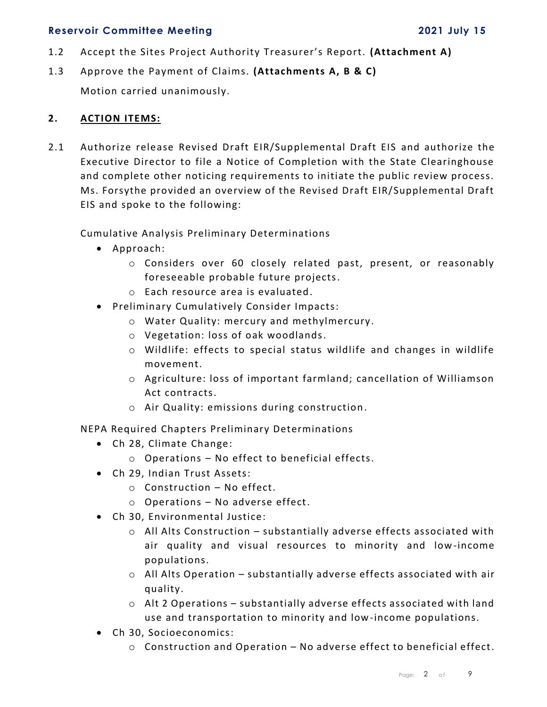- 1.2 Accept the Sites Project Authority Treasurer's Report. **(Attachment A)**
- 1.3 Approve the Payment of Claims. **(Attachments A, B & C)** Motion carried unanimously.

### **2. ACTION ITEMS:**

2.1 Authorize release Revised Draft EIR/Supplemental Draft EIS and authorize the Executive Director to file a Notice of Completion with the State Clearinghouse and complete other noticing requirements to initiate the public review process. Ms. Forsythe provided an overview of the Revised Draft EIR/Supplemental Draft EIS and spoke to the following:

Cumulative Analysis Preliminary Determinations

- Approach:
	- o Considers over 60 closely related past, present, or reasonably foreseeable probable future projects.
	- o Each resource area is evaluated.
- Preliminary Cumulatively Consider Impacts:
	- o Water Quality: mercury and methylmercury .
	- o Vegetation: loss of oak woodlands.
	- o Wildlife: effects to special status wildlife and changes in wildlife movement.
	- o Agriculture: loss of important farmland; cancellation of Williamson Act contracts.
	- o Air Quality: emissions during construction.

NEPA Required Chapters Preliminary Determinations

- Ch 28, Climate Change:
	- o Operations No effect to beneficial effects.
- Ch 29, Indian Trust Assets:
	- o Construction No effect.
	- o Operations No adverse effect.
- Ch 30, Environmental Justice:
	- $\circ$  All Alts Construction substantially adverse effects associated with air quality and visual resources to minority and low-income populations.
	- o All Alts Operation substantially adverse effects associated with air quality.
	- o Alt 2 Operations substantially adverse effects associated with land use and transportation to minority and low-income populations.
- Ch 30, Socioeconomics:
	- $\circ$  Construction and Operation No adverse effect to beneficial effect.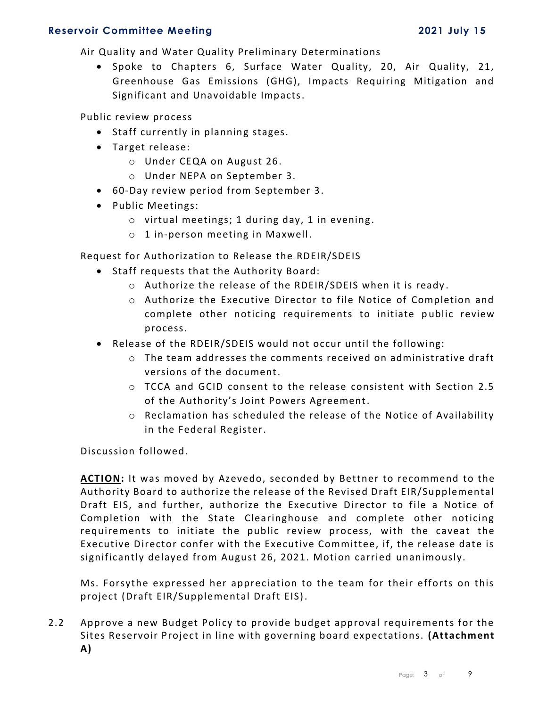Air Quality and Water Quality Preliminary Determinations

• Spoke to Chapters 6, Surface Water Quality, 20, Air Quality, 21, Greenhouse Gas Emissions (GHG), Impacts Requiring Mitigation and Significant and Unavoidable Impacts.

Public review process

- Staff currently in planning stages.
- Target release:
	- o Under CEQA on August 26.
	- o Under NEPA on September 3.
- 60-Day review period from September 3.
- Public Meetings:
	- o virtual meetings; 1 during day, 1 in evening .
	- o 1 in-person meeting in Maxwell.

Request for Authorization to Release the RDEIR/SDEIS

- Staff requests that the Authority Board:
	- o Authorize the release of the RDEIR/SDEIS when it is ready .
	- o Authorize the Executive Director to file Notice of Completion and complete other noticing requirements to initiate public review process.
- Release of the RDEIR/SDEIS would not occur until the following:
	- o The team addresses the comments received on administrative draft versions of the document.
	- o TCCA and GCID consent to the release consistent with Section 2.5 of the Authority's Joint Powers Agreement.
	- $\circ$  Reclamation has scheduled the release of the Notice of Availability in the Federal Register.

Discussion followed.

**ACTION:** It was moved by Azevedo, seconded by Bettner to recommend to the Authority Board to authorize the release of the Revised Draft EIR/Supplemental Draft EIS, and further, authorize the Executive Director to file a Notice of Completion with the State Clearinghouse and complete other noticing requirements to initiate the public review process, with the caveat the Executive Director confer with the Executive Committee, if, the release date is significantly delayed from August 26, 2021. Motion carried unanimously.

Ms. Forsythe expressed her appreciation to the team for their efforts on this project (Draft EIR/Supplemental Draft EIS).

2.2 Approve a new Budget Policy to provide budget approval requirements for the Sites Reservoir Project in line with governing board expectations. **(Attachment A)**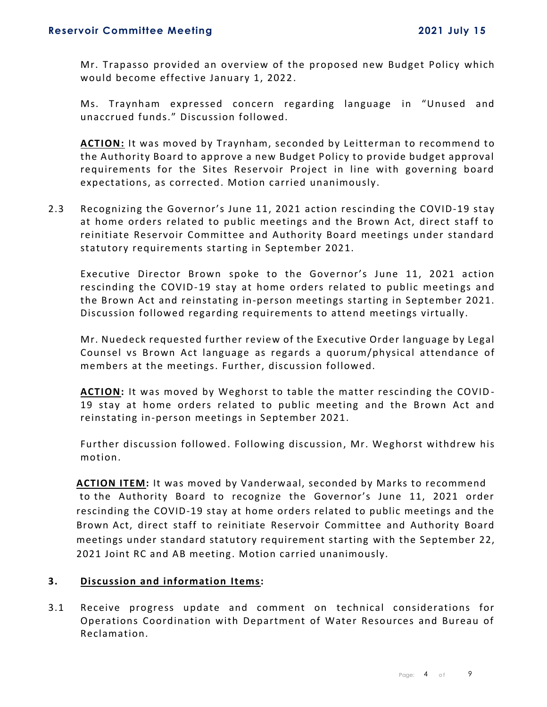Mr. Trapasso provided an overview of the proposed new Budget Policy which would become effective January 1, 2022.

Ms. Traynham expressed concern regarding language in "Unused and unaccrued funds." Discussion followed.

**ACTION:** It was moved by Traynham, seconded by Leitterman to recommend to the Authority Board to approve a new Budget Policy to provide budget approval requirements for the Sites Reservoir Project in line with governing board expectations, as corrected. Motion carried unanimously.

2.3 Recognizing the Governor's June 11, 2021 action rescinding the COVID-19 stay at home orders related to public meetings and the Brown Act, direct staff to reinitiate Reservoir Committee and Authority Board meetings under standard statutory requirements starting in September 2021.

Executive Director Brown spoke to the Governor's June 11, 2021 action rescinding the COVID-19 stay at home orders related to public meetings and the Brown Act and reinstating in-person meetings starting in September 2021. Discussion followed regarding requirements to attend meetings virtually.

Mr. Nuedeck requested further review of the Executive Order language by Legal Counsel vs Brown Act language as regards a quorum/physical attendance of members at the meetings. Further, discussion followed.

**ACTION:** It was moved by Weghorst to table the matter rescinding the COVID - 19 stay at home orders related to public meeting and the Brown Act and reinstating in-person meetings in September 2021.

Further discussion followed. Following discussion, Mr. Weghorst withdrew his motion.

**ACTION ITEM:** It was moved by Vanderwaal, seconded by Marks to recommend to the Authority Board to recognize the Governor's June 11, 2021 order rescinding the COVID-19 stay at home orders related to public meetings and the Brown Act, direct staff to reinitiate Reservoir Committee and Authority Board meetings under standard statutory requirement starting with the September 22, 2021 Joint RC and AB meeting. Motion carried unanimously.

### **3. Discussion and information Items:**

3.1 Receive progress update and comment on technical considerations for Operations Coordination with Department of Water Resources and Bureau of Reclamation.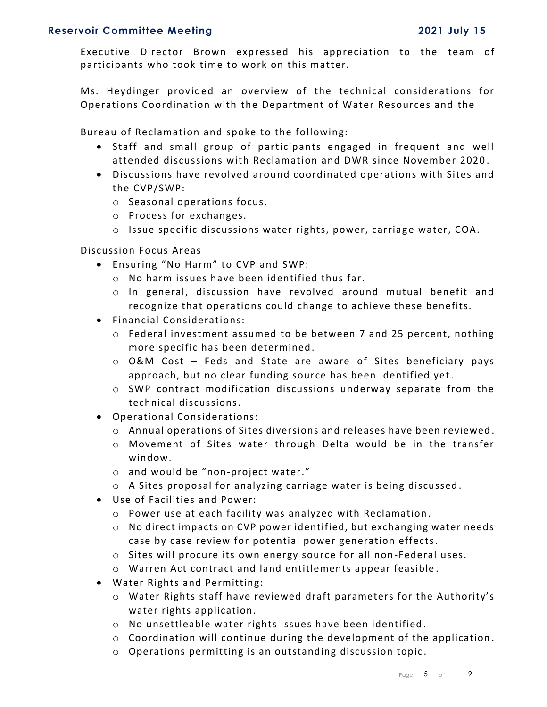Executive Director Brown expressed his appreciation to the team of participants who took time to work on this matter.

Ms. Heydinger provided an overview of the technical considerations for Operations Coordination with the Department of Water Resources and the

Bureau of Reclamation and spoke to the following:

- Staff and small group of participants engaged in frequent and well attended discussions with Reclamation and DWR since November 2020 .
- Discussions have revolved around coordinated operations with Sites and the CVP/SWP:
	- o Seasonal operations focus.
	- o Process for exchanges.
	- $\circ$  Issue specific discussions water rights, power, carriage water, COA.

Discussion Focus Areas

- Ensuring "No Harm" to CVP and SWP:
	- o No harm issues have been identified thus far.
	- o In general, discussion have revolved around mutual benefit and recognize that operations could change to achieve these benefits.
- Financial Considerations:
	- $\circ$  Federal investment assumed to be between 7 and 25 percent, nothing more specific has been determined.
	- o O&M Cost Feds and State are aware of Sites beneficiary pays approach, but no clear funding source has been identified yet.
	- $\circ$  SWP contract modification discussions underway separate from the technical discussions.
- Operational Considerations:
	- o Annual operations of Sites diversions and releases have been reviewed .
	- o Movement of Sites water through Delta would be in the transfer window.
	- o and would be "non-project water."
	- o A Sites proposal for analyzing carriage water is being discussed .
- Use of Facilities and Power:
	- o Power use at each facility was analyzed with Reclamation .
	- $\circ$  No direct impacts on CVP power identified, but exchanging water needs case by case review for potential power generation effects.
	- o Sites will procure its own energy source for all non -Federal uses.
	- o Warren Act contract and land entitlements appear feasible .
- Water Rights and Permitting:
	- o Water Rights staff have reviewed draft parameters for the Authority's water rights application.
	- $\circ$  No unsettleable water rights issues have been identified.
	- o Coordination will continue during the development of the application .
	- o Operations permitting is an outstanding discussion topic .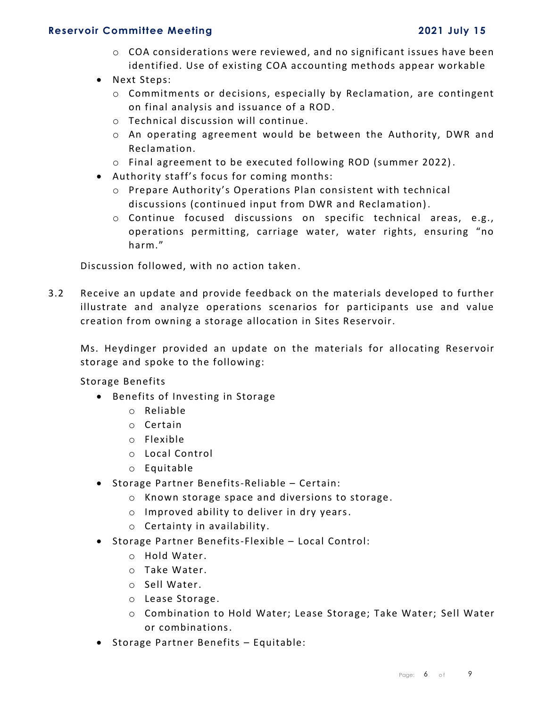- $\circ$  COA considerations were reviewed, and no significant issues have been identified. Use of existing COA accounting methods appear workable
- Next Steps:
	- $\circ$  Commitments or decisions, especially by Reclamation, are contingent on final analysis and issuance of a ROD.
	- o Technical discussion will continue .
	- o An operating agreement would be between the Authority, DWR and Reclamation.
	- o Final agreement to be executed following ROD (summer 2022).
- Authority staff's focus for coming months:
	- o Prepare Authority's Operations Plan consistent with technical discussions (continued input from DWR and Reclamation).
	- o Continue focused discussions on specific technical areas, e.g., operations permitting, carriage water, water rights, ensuring "no harm."

Discussion followed, with no action taken.

3.2 Receive an update and provide feedback on the materials developed to further illustrate and analyze operations scenarios for participants use and value creation from owning a storage allocation in Sites Reservoir.

Ms. Heydinger provided an update on the materials for allocating Reservoir storage and spoke to the following:

Storage Benefits

- Benefits of Investing in Storage
	- o Reliable
	- o Certain
	- o Flexible
	- o Local Control
	- o Equitable
- Storage Partner Benefits-Reliable Certain:
	- o Known storage space and diversions to storage.
	- o Improved ability to deliver in dry years.
	- o Certainty in availability.
- Storage Partner Benefits-Flexible Local Control:
	- o Hold Water.
	- o Take Water.
	- o Sell Water.
	- o Lease Storage.
	- o Combination to Hold Water; Lease Storage; Take Water; Sell Water or combinations.
- Storage Partner Benefits Equitable: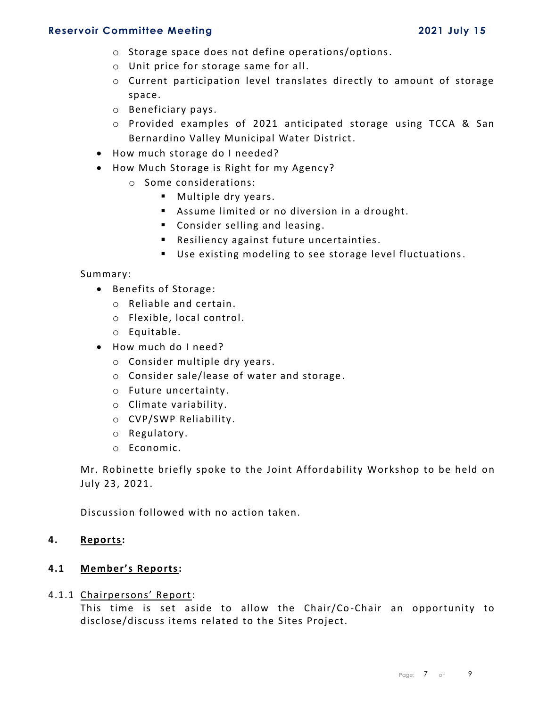- o Storage space does not define operations/options.
- o Unit price for storage same for all.
- o Current participation level translates directly to amount of storage space.
- o Beneficiary pays.
- o Provided examples of 2021 anticipated storage using TCCA & San Bernardino Valley Municipal Water District.
- How much storage do I needed?
- How Much Storage is Right for my Agency?
	- o Some considerations:
		- Multiple dry years.
		- Assume limited or no diversion in a drought.
		- Consider selling and leasing.
		- Resiliency against future uncertainties.
		- Use existing modeling to see storage level fluctuations.

#### Summary:

- Benefits of Storage:
	- o Reliable and certain.
	- o Flexible, local control.
	- o Equitable.
- How much do I need?
	- o Consider multiple dry years.
	- o Consider sale/lease of water and storage .
	- o Future uncertainty.
	- o Climate variability.
	- o CVP/SWP Reliability.
	- o Regulatory.
	- o Economic.

Mr. Robinette briefly spoke to the Joint Affordability Workshop to be held on July 23, 2021.

Discussion followed with no action taken.

### **4. Reports:**

### **4.1 Member's Reports:**

#### 4.1.1 Chairpersons' Report:

This time is set aside to allow the Chair/Co -Chair an opportunity to disclose/discuss items related to the Sites Project.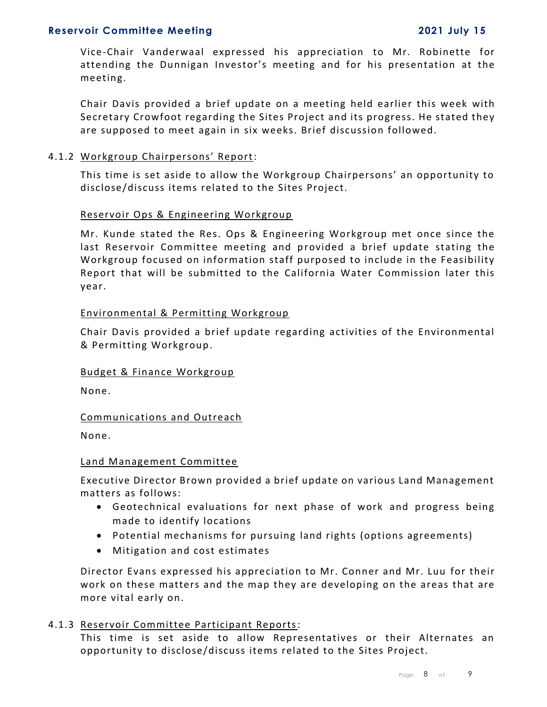Vice-Chair Vanderwaal expressed his appreciation to Mr. Robinette for attending the Dunnigan Investor's meeting and for his presentation at the meeting.

Chair Davis provided a brief update on a meeting held earlier this week with Secretary Crowfoot regarding the Sites Project and its progress. He stated they are supposed to meet again in six weeks. Brief discussion followed.

#### 4.1.2 Workgroup Chairpersons' Report:

This time is set aside to allow the Workgroup Chairpersons' an opportunity to disclose/discuss items related to the Sites Project.

#### Reservoir Ops & Engineering Workgroup

Mr. Kunde stated the Res. Ops & Engineering Workgroup met once since the last Reservoir Committee meeting and provided a brief update stating the Workgroup focused on information staff purposed to include in the Feasibility Report that will be submitted to the California Water Commission later this year.

### Environmental & Permitting Workgroup

Chair Davis provided a brief update regarding activities of the Environmental & Permitting Workgroup.

### Budget & Finance Workgroup

None.

### Communications and Outreach

None.

#### Land Management Committee

Executive Director Brown provided a brief update on various Land Management matters as follows:

- Geotechnical evaluations for next phase of work and progress being made to identify locations
- Potential mechanisms for pursuing land rights (options agreements)
- Mitigation and cost estimates

Director Evans expressed his appreciation to Mr. Conner and Mr. Luu for their work on these matters and the map they are developing on the areas that are more vital early on.

### 4.1.3 Reservoir Committee Participant Reports:

This time is set aside to allow Representatives or their Alternates an opportunity to disclose/discuss items related to the Sites Project.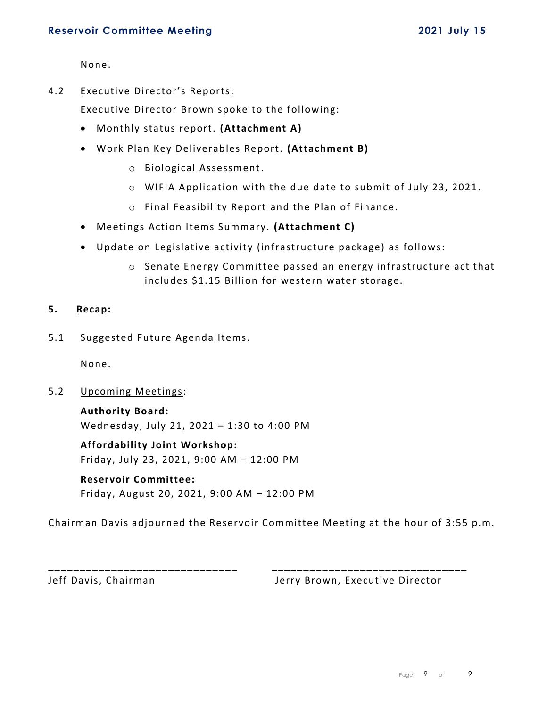None.

4.2 Executive Director's Reports:

Executive Director Brown spoke to the following:

- Monthly status report. **(Attachment A)**
- Work Plan Key Deliverables Report. **(Attachment B)**
	- o Biological Assessment.
	- o WIFIA Application with the due date to submit of July 23, 2021.
	- o Final Feasibility Report and the Plan of Finance.
- Meetings Action Items Summary. **(Attachment C)**
- Update on Legislative activity (infrastructure package) as follows:
	- o Senate Energy Committee passed an energy infrastructure act that includes \$1.15 Billion for western water storage.

### **5. Recap:**

5.1 Suggested Future Agenda Items.

None.

5.2 Upcoming Meetings:

**Authority Board:** Wednesday, July 21, 2021 – 1:30 to 4:00 PM

**Affordability Joint Workshop:** Friday, July 23, 2021, 9:00 AM – 12:00 PM

# **Reservoir Committee:**

Friday, August 20, 2021, 9:00 AM – 12:00 PM

Chairman Davis adjourned the Reservoir Committee Meeting at the hour of 3:55 p.m.

\_\_\_\_\_\_\_\_\_\_\_\_\_\_\_\_\_\_\_\_\_\_\_\_\_\_\_\_\_\_ \_\_\_\_\_\_\_\_\_\_\_\_\_\_\_\_\_\_\_\_\_\_\_\_\_\_\_\_\_\_\_

Jeff Davis, Chairman **Jerry Brown**, Executive Director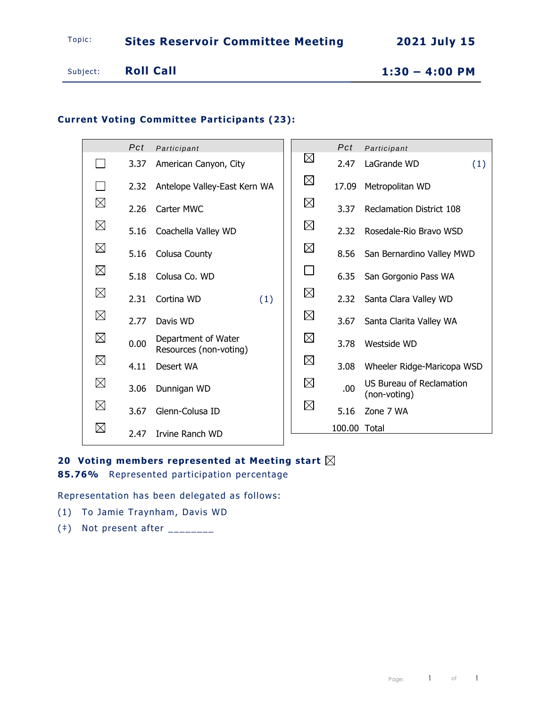# **Current Voting Committee Participants (23):**

|             | Pct  | Participant                                   |             | Pct          | Participant                                     |
|-------------|------|-----------------------------------------------|-------------|--------------|-------------------------------------------------|
|             | 3.37 | American Canyon, City                         | $\boxtimes$ | 2.47         | LaGrande WD<br>(1)                              |
|             | 2.32 | Antelope Valley-East Kern WA                  | $\boxtimes$ | 17.09        | Metropolitan WD                                 |
| $\boxtimes$ | 2.26 | Carter MWC                                    | $\boxtimes$ | 3.37         | Reclamation District 108                        |
| $\boxtimes$ | 5.16 | Coachella Valley WD                           | $\boxtimes$ | 2.32         | Rosedale-Rio Bravo WSD                          |
| $\boxtimes$ | 5.16 | Colusa County                                 | $\boxtimes$ | 8.56         | San Bernardino Valley MWD                       |
| $\boxtimes$ | 5.18 | Colusa Co. WD                                 |             | 6.35         | San Gorgonio Pass WA                            |
| $\boxtimes$ | 2.31 | Cortina WD<br>(1)                             | $\boxtimes$ | 2.32         | Santa Clara Valley WD                           |
| $\boxtimes$ | 2.77 | Davis WD                                      | $\boxtimes$ | 3.67         | Santa Clarita Valley WA                         |
| $\boxtimes$ | 0.00 | Department of Water<br>Resources (non-voting) | $\boxtimes$ | 3.78         | Westside WD                                     |
| $\boxtimes$ | 4.11 | Desert WA                                     | $\boxtimes$ | 3.08         | Wheeler Ridge-Maricopa WSD                      |
| $\boxtimes$ | 3.06 | Dunnigan WD                                   | $\boxtimes$ | .00          | <b>US Bureau of Reclamation</b><br>(non-voting) |
| $\boxtimes$ | 3.67 | Glenn-Colusa ID                               | $\boxtimes$ | 5.16         | Zone 7 WA                                       |
| $\boxtimes$ | 2.47 | <b>Tryine Ranch WD</b>                        |             | 100.00 Total |                                                 |

## **20 Voting members represented at Meeting start**

**85.76%** Represented participation percentage

Representation has been delegated as follows:

- (1) To Jamie Traynham, Davis WD
- $(*)$  Not present after  $\frac{1}{1}$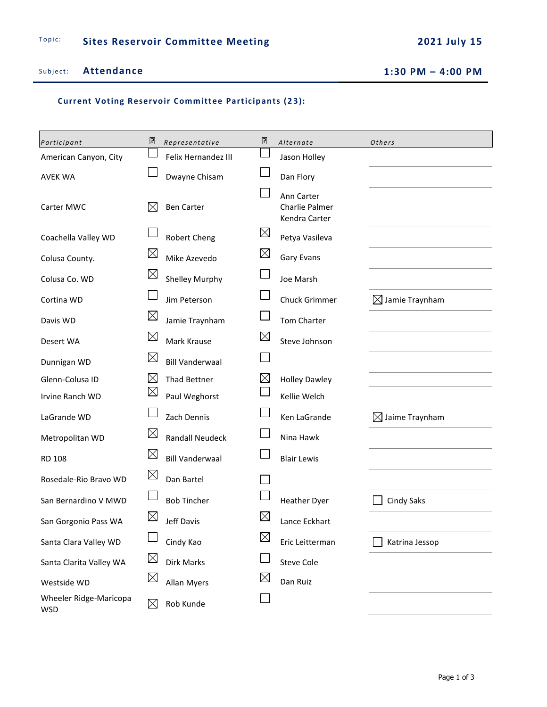Subject: Attendance 1:30 PM  $-$  4:00 PM

**Current Voting Reservoir Committee Participants (23):** 

| Participant                          | ₽           | Representative         | ₽           | Alternate                                     | Others                     |
|--------------------------------------|-------------|------------------------|-------------|-----------------------------------------------|----------------------------|
| American Canyon, City                |             | Felix Hernandez III    |             | Jason Holley                                  |                            |
| <b>AVEK WA</b>                       |             | Dwayne Chisam          |             | Dan Flory                                     |                            |
| Carter MWC                           | ⋉           | <b>Ben Carter</b>      |             | Ann Carter<br>Charlie Palmer<br>Kendra Carter |                            |
| Coachella Valley WD                  |             | Robert Cheng           | $\boxtimes$ | Petya Vasileva                                |                            |
| Colusa County.                       | $\boxtimes$ | Mike Azevedo           | $\boxtimes$ | <b>Gary Evans</b>                             |                            |
| Colusa Co. WD                        | $\boxtimes$ | <b>Shelley Murphy</b>  |             | Joe Marsh                                     |                            |
| Cortina WD                           |             | Jim Peterson           |             | Chuck Grimmer                                 | $\boxtimes$ Jamie Traynham |
| Davis WD                             | $\boxtimes$ | Jamie Traynham         |             | <b>Tom Charter</b>                            |                            |
| Desert WA                            | $\boxtimes$ | Mark Krause            | $\boxtimes$ | Steve Johnson                                 |                            |
| Dunnigan WD                          | $\boxtimes$ | <b>Bill Vanderwaal</b> |             |                                               |                            |
| Glenn-Colusa ID                      | $\boxtimes$ | <b>Thad Bettner</b>    | $\boxtimes$ | <b>Holley Dawley</b>                          |                            |
| Irvine Ranch WD                      | $\boxtimes$ | Paul Weghorst          |             | Kellie Welch                                  |                            |
| LaGrande WD                          |             | Zach Dennis            |             | Ken LaGrande                                  | $\boxtimes$ Jaime Traynham |
| Metropolitan WD                      | $\boxtimes$ | <b>Randall Neudeck</b> |             | Nina Hawk                                     |                            |
| <b>RD 108</b>                        | $\boxtimes$ | <b>Bill Vanderwaal</b> |             | <b>Blair Lewis</b>                            |                            |
| Rosedale-Rio Bravo WD                | $\boxtimes$ | Dan Bartel             |             |                                               |                            |
| San Bernardino V MWD                 |             | <b>Bob Tincher</b>     |             | <b>Heather Dyer</b>                           | <b>Cindy Saks</b>          |
| San Gorgonio Pass WA                 | $\boxtimes$ | Jeff Davis             | $\boxtimes$ | Lance Eckhart                                 |                            |
| Santa Clara Valley WD                |             | Cindy Kao              | $\boxtimes$ | Eric Leitterman                               | Katrina Jessop             |
| Santa Clarita Valley WA              | $\boxtimes$ | Dirk Marks             |             | <b>Steve Cole</b>                             |                            |
| Westside WD                          | $\boxtimes$ | <b>Allan Myers</b>     | $\boxtimes$ | Dan Ruiz                                      |                            |
| Wheeler Ridge-Maricopa<br><b>WSD</b> | $\boxtimes$ | Rob Kunde              |             |                                               |                            |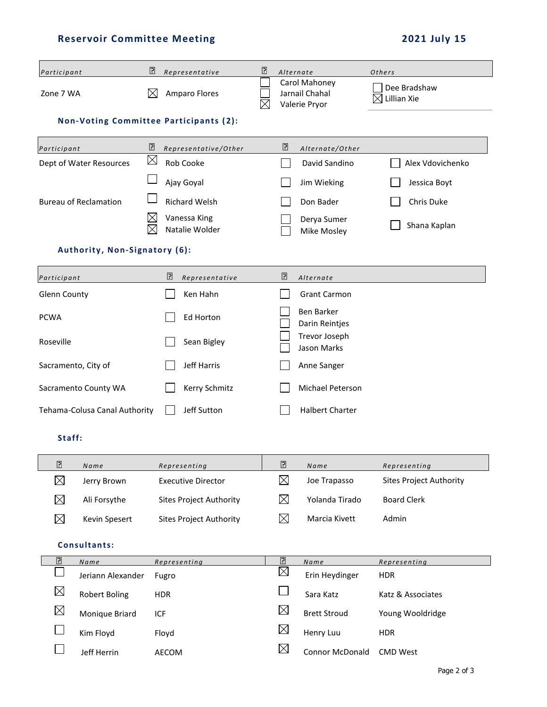| Participant                                  |                                        | $\Box$             | Representative                 | $\Box$ |                        | Alternate                                        | Others                         |
|----------------------------------------------|----------------------------------------|--------------------|--------------------------------|--------|------------------------|--------------------------------------------------|--------------------------------|
| Zone 7 WA                                    |                                        | $\bowtie$          | <b>Amparo Flores</b>           |        |                        | Carol Mahoney<br>Jarnail Chahal<br>Valerie Pryor | Dee Bradshaw<br>Lillian Xie    |
|                                              | Non-Voting Committee Participants (2): |                    |                                |        |                        |                                                  |                                |
| Participant                                  |                                        | 5                  | Representative/Other           |        | ₽                      | Alternate/Other                                  |                                |
|                                              | Dept of Water Resources                | $\boxtimes$        | Rob Cooke                      |        |                        | David Sandino                                    | Alex Vdovichenko               |
|                                              |                                        |                    | Ajay Goyal                     |        |                        | Jim Wieking                                      | Jessica Boyt                   |
|                                              | <b>Bureau of Reclamation</b>           |                    | <b>Richard Welsh</b>           |        |                        | Don Bader                                        | Chris Duke                     |
|                                              |                                        | $\boxtimes$<br>X   | Vanessa King<br>Natalie Wolder |        |                        | Derya Sumer<br>Mike Mosley                       | Shana Kaplan                   |
|                                              | Authority, Non-Signatory (6):          |                    |                                |        |                        |                                                  |                                |
| Participant                                  |                                        |                    | ₽<br>Representative            |        | $\overline{2}$         | Alternate                                        |                                |
| <b>Glenn County</b>                          |                                        |                    | Ken Hahn                       |        |                        | <b>Grant Carmon</b>                              |                                |
| <b>PCWA</b>                                  |                                        |                    | Ed Horton                      |        |                        | Ben Barker<br>Darin Reintjes                     |                                |
| Roseville                                    |                                        |                    | Sean Bigley                    |        |                        | Trevor Joseph<br>Jason Marks                     |                                |
| Sacramento, City of                          |                                        | <b>Jeff Harris</b> |                                |        | Anne Sanger            |                                                  |                                |
| Sacramento County WA                         |                                        | Kerry Schmitz      |                                |        | Michael Peterson       |                                                  |                                |
| Tehama-Colusa Canal Authority<br>Jeff Sutton |                                        |                    |                                |        | <b>Halbert Charter</b> |                                                  |                                |
|                                              | Staff:                                 |                    |                                |        |                        |                                                  |                                |
| $\boxdot$                                    | Name                                   |                    | Representing                   |        | $\boxed{2}$            | Name                                             | Representing                   |
| $\boxtimes$                                  | Jerry Brown                            |                    | <b>Executive Director</b>      |        | $\boxtimes$            | Joe Trapasso                                     | <b>Sites Project Authority</b> |
| $\boxtimes$                                  | Ali Forsythe                           |                    | <b>Sites Project Authority</b> |        | $\boxtimes$            | Yolanda Tirado                                   | <b>Board Clerk</b>             |
| $\boxtimes$                                  | Kevin Spesert                          |                    | <b>Sites Project Authority</b> |        | $\boxtimes$            | Marcia Kivett                                    | Admin                          |
| Consultants:                                 |                                        |                    |                                |        |                        |                                                  |                                |
| ⊡                                            | Name                                   |                    | Representing                   |        | ₽                      | Name                                             | Representing                   |
|                                              | Jeriann Alexander                      |                    | Fugro                          |        | $\boxtimes$            | Erin Heydinger                                   | <b>HDR</b>                     |
| $\boxtimes$                                  | <b>Robert Boling</b>                   |                    | <b>HDR</b>                     |        |                        | Sara Katz                                        | Katz & Associates              |
| $\boxtimes$                                  | Monique Briard                         | ICF                |                                |        | $\boxtimes$            | <b>Brett Stroud</b>                              | Young Wooldridge               |
|                                              | Kim Floyd                              |                    | Floyd                          |        | $\boxtimes$            | Henry Luu                                        | <b>HDR</b>                     |
|                                              | Jeff Herrin                            |                    | AECOM                          |        | $\boxtimes$            | Connor McDonald                                  | <b>CMD West</b>                |